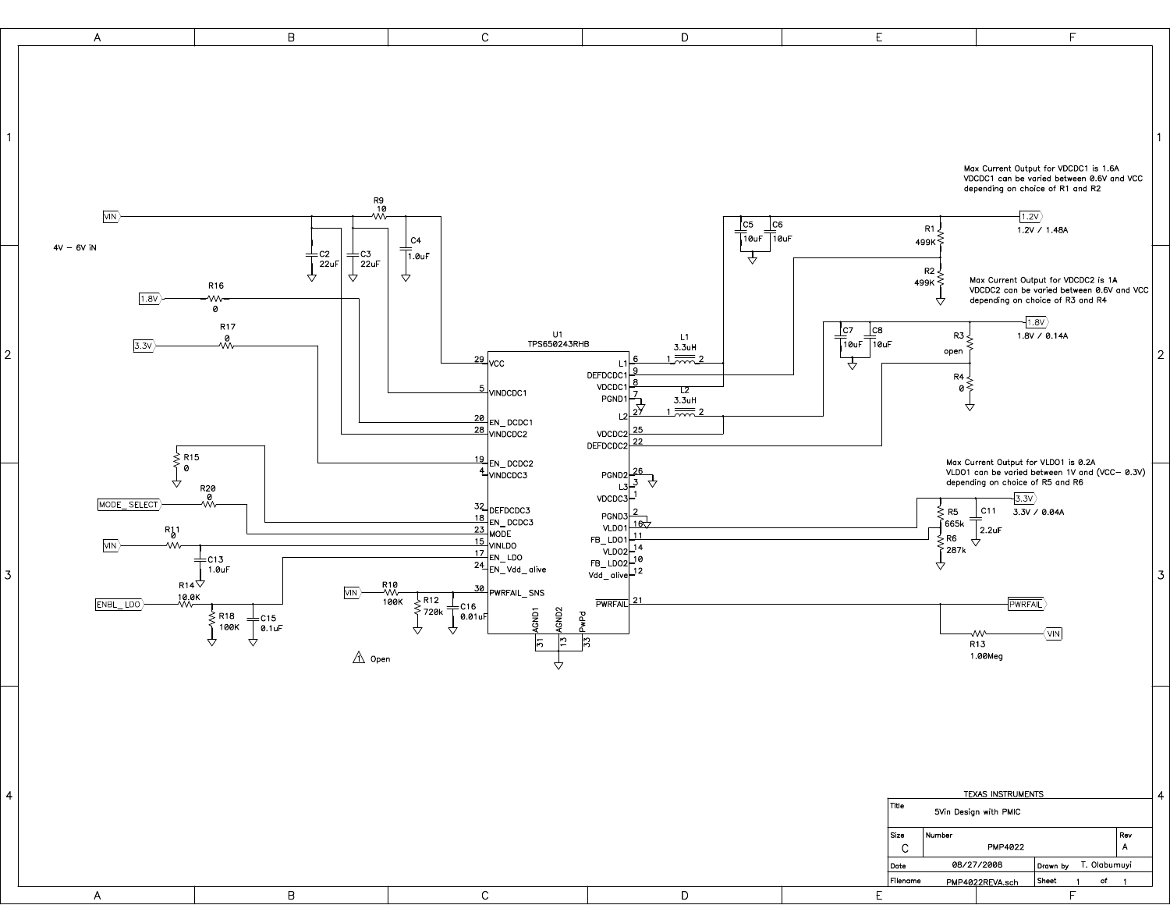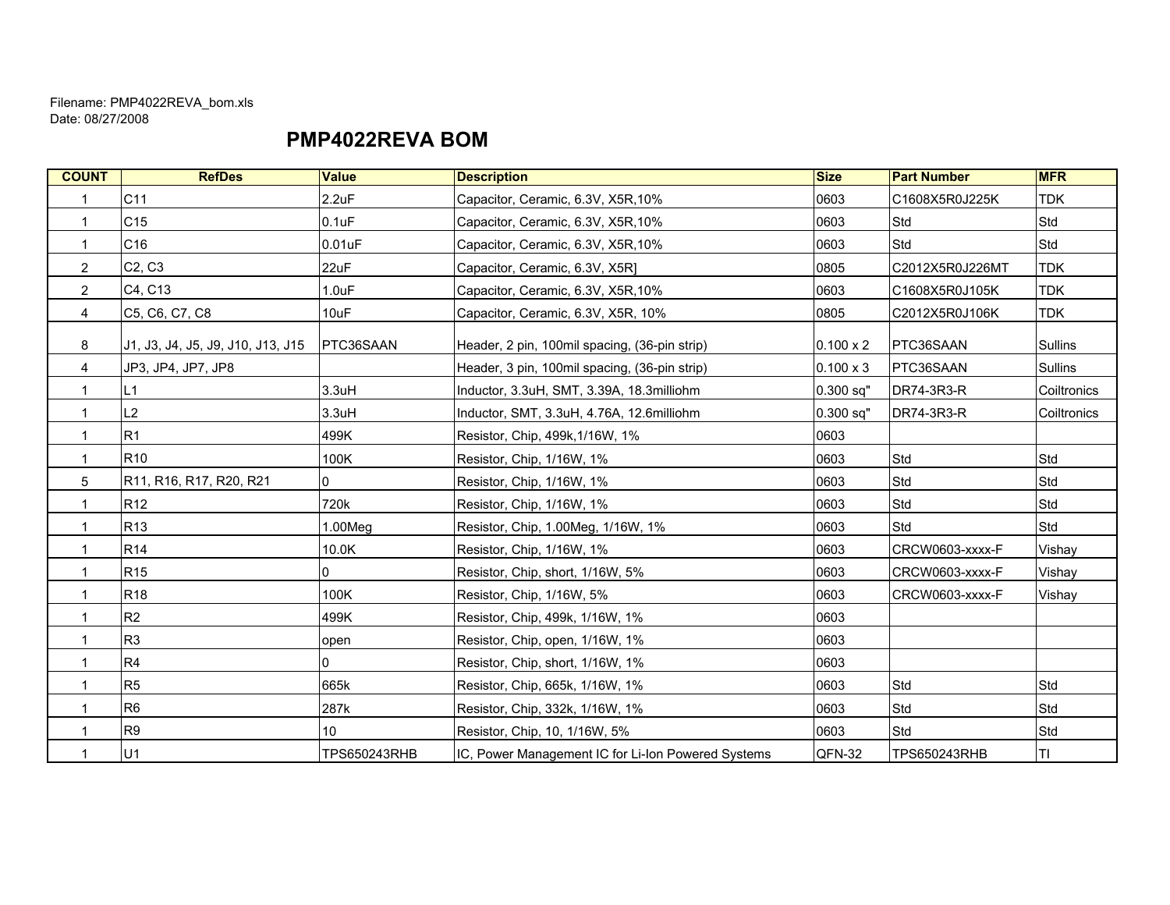#### PMP4022REVA BOM

| <b>COUNT</b>   | <b>RefDes</b>                     | <b>Value</b>    | <b>Description</b>                                 | <b>Size</b>      | <b>Part Number</b>  | <b>MFR</b>     |
|----------------|-----------------------------------|-----------------|----------------------------------------------------|------------------|---------------------|----------------|
| $\mathbf{1}$   | C11                               | 2.2uF           | Capacitor, Ceramic, 6.3V, X5R, 10%                 | 0603             | C1608X5R0J225K      | <b>TDK</b>     |
| $\mathbf{1}$   | C15                               | $0.1$ u $F$     | Capacitor, Ceramic, 6.3V, X5R, 10%                 | 0603             | Std                 | Std            |
| 1              | C16                               | $0.01$ u $F$    | Capacitor, Ceramic, 6.3V, X5R, 10%                 | 0603             | <b>Std</b>          | Std            |
| $\overline{c}$ | C <sub>2</sub> , C <sub>3</sub>   | 22uF            | Capacitor, Ceramic, 6.3V, X5R1                     | 0805             | C2012X5R0J226MT     | <b>TDK</b>     |
| $\overline{2}$ | C4, C13                           | 1.0uF           | Capacitor, Ceramic, 6.3V, X5R, 10%                 | 0603             | C1608X5R0J105K      | <b>TDK</b>     |
| $\overline{4}$ | C5, C6, C7, C8                    | 10uF            | Capacitor, Ceramic, 6.3V, X5R, 10%                 | 0805             | C2012X5R0J106K      | <b>TDK</b>     |
| 8              | J1, J3, J4, J5, J9, J10, J13, J15 | PTC36SAAN       | Header, 2 pin, 100mil spacing, (36-pin strip)      | $0.100 \times 2$ | PTC36SAAN           | <b>Sullins</b> |
| 4              | JP3, JP4, JP7, JP8                |                 | Header, 3 pin, 100mil spacing, (36-pin strip)      | $0.100 \times 3$ | PTC36SAAN           | <b>Sullins</b> |
| 1              | L1                                | 3.3uH           | Inductor, 3.3uH, SMT, 3.39A, 18.3milliohm          | $0.300$ sq"      | DR74-3R3-R          | Coiltronics    |
| 1              | L2                                | 3.3uH           | Inductor, SMT, 3.3uH, 4.76A, 12.6milliohm          | $0.300$ sq"      | DR74-3R3-R          | Coiltronics    |
|                | R1                                | 499K            | Resistor, Chip, 499k, 1/16W, 1%                    | 0603             |                     |                |
| 1              | R <sub>10</sub>                   | 100K            | Resistor, Chip, 1/16W, 1%                          | 0603             | Std                 | Std            |
| 5              | R11, R16, R17, R20, R21           | 0               | Resistor, Chip, 1/16W, 1%                          | 0603             | Std                 | Std            |
| 1              | R <sub>12</sub>                   | 720k            | Resistor, Chip, 1/16W, 1%                          | 0603             | Std                 | Std            |
| 1              | <b>R13</b>                        | 1.00Meg         | Resistor, Chip, 1.00Meg, 1/16W, 1%                 | 0603             | Std                 | Std            |
| 1              | <b>R14</b>                        | 10.0K           | Resistor, Chip, 1/16W, 1%                          | 0603             | CRCW0603-xxxx-F     | Vishay         |
| 1              | R <sub>15</sub>                   | 0               | Resistor, Chip, short, 1/16W, 5%                   | 0603             | CRCW0603-xxxx-F     | Vishay         |
| 1              | <b>R18</b>                        | 100K            | Resistor, Chip, 1/16W, 5%                          | 0603             | CRCW0603-xxxx-F     | Vishay         |
| 1              | R2                                | 499K            | Resistor, Chip, 499k, 1/16W, 1%                    | 0603             |                     |                |
| 1              | R <sub>3</sub>                    | open            | Resistor, Chip, open, 1/16W, 1%                    | 0603             |                     |                |
| 1              | R <sub>4</sub>                    | $\Omega$        | Resistor, Chip, short, 1/16W, 1%                   | 0603             |                     |                |
| 1              | R <sub>5</sub>                    | 665k            | Resistor, Chip, 665k, 1/16W, 1%                    | 0603             | Std                 | Std            |
|                | R <sub>6</sub>                    | 287k            | Resistor, Chip, 332k, 1/16W, 1%                    | 0603             | Std                 | Std            |
|                | R <sub>9</sub>                    | 10 <sup>°</sup> | Resistor, Chip, 10, 1/16W, 5%                      | 0603             | Std                 | Std            |
|                | U1                                | TPS650243RHB    | IC, Power Management IC for Li-Ion Powered Systems | QFN-32           | <b>TPS650243RHB</b> | lτι            |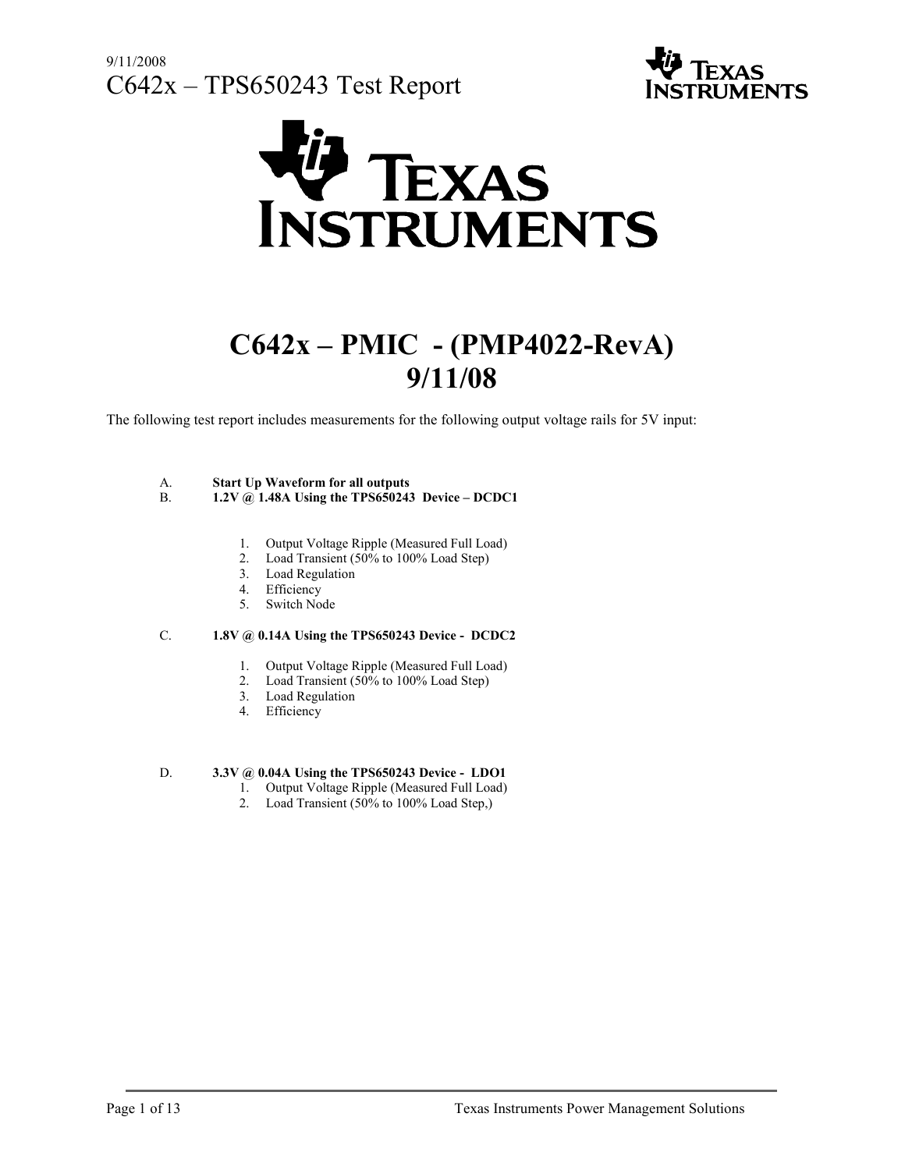



# C642x – PMIC - (PMP4022-RevA) 9/11/08

The following test report includes measurements for the following output voltage rails for 5V input:

#### A. Start Up Waveform for all outputs

- B.  $1.2V (a) 1.48A Using the TPS650243 Device DCDC1$ 
	- 1. Output Voltage Ripple (Measured Full Load)
	- 2. Load Transient (50% to 100% Load Step)
	- 3. Load Regulation
	- 4. Efficiency
	- 5. Switch Node

#### C. 1.8V @ 0.14A Using the TPS650243 Device - DCDC2

- 1. Output Voltage Ripple (Measured Full Load)
- 2. Load Transient (50% to 100% Load Step)
- 3. Load Regulation
- 4. Efficiency

#### D. 3.3V @ 0.04A Using the TPS650243 Device - LDO1

- 1. Output Voltage Ripple (Measured Full Load)
- 2. Load Transient (50% to 100% Load Step,)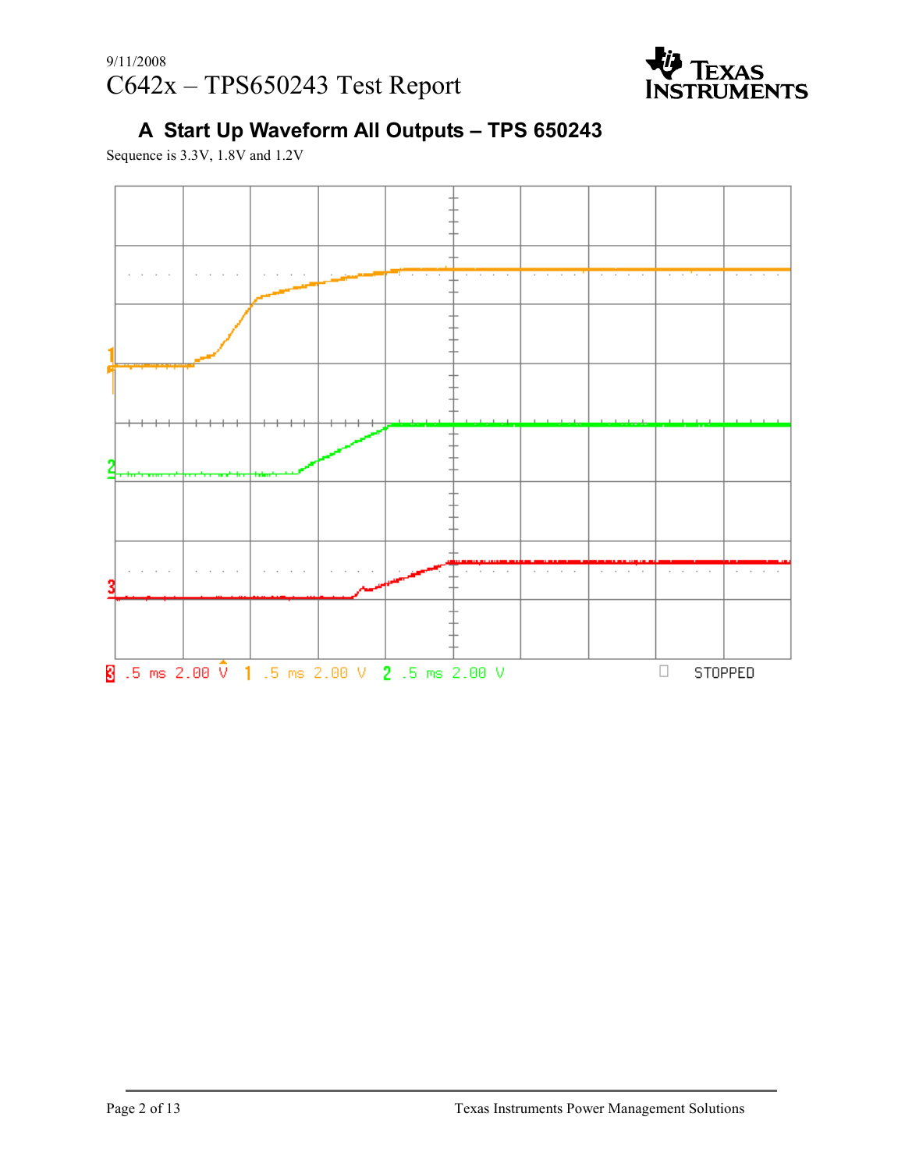

# A Start Up Waveform All Outputs – TPS 650243

Sequence is 3.3V, 1.8V and 1.2V

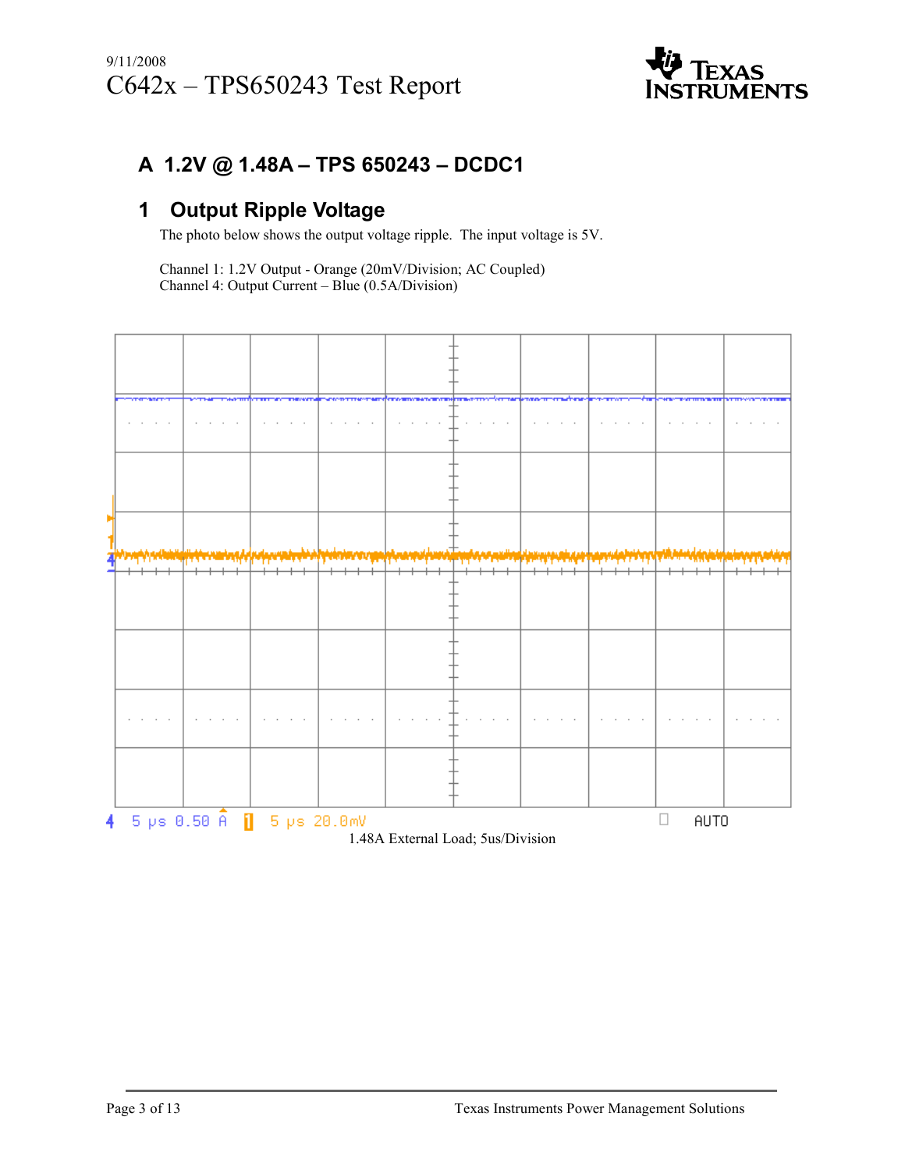

### A 1.2V @ 1.48A – TPS 650243 – DCDC1

#### 1 Output Ripple Voltage

The photo below shows the output voltage ripple. The input voltage is 5V.

Channel 1: 1.2V Output - Orange (20mV/Division; AC Coupled) Channel 4: Output Current – Blue (0.5A/Division)

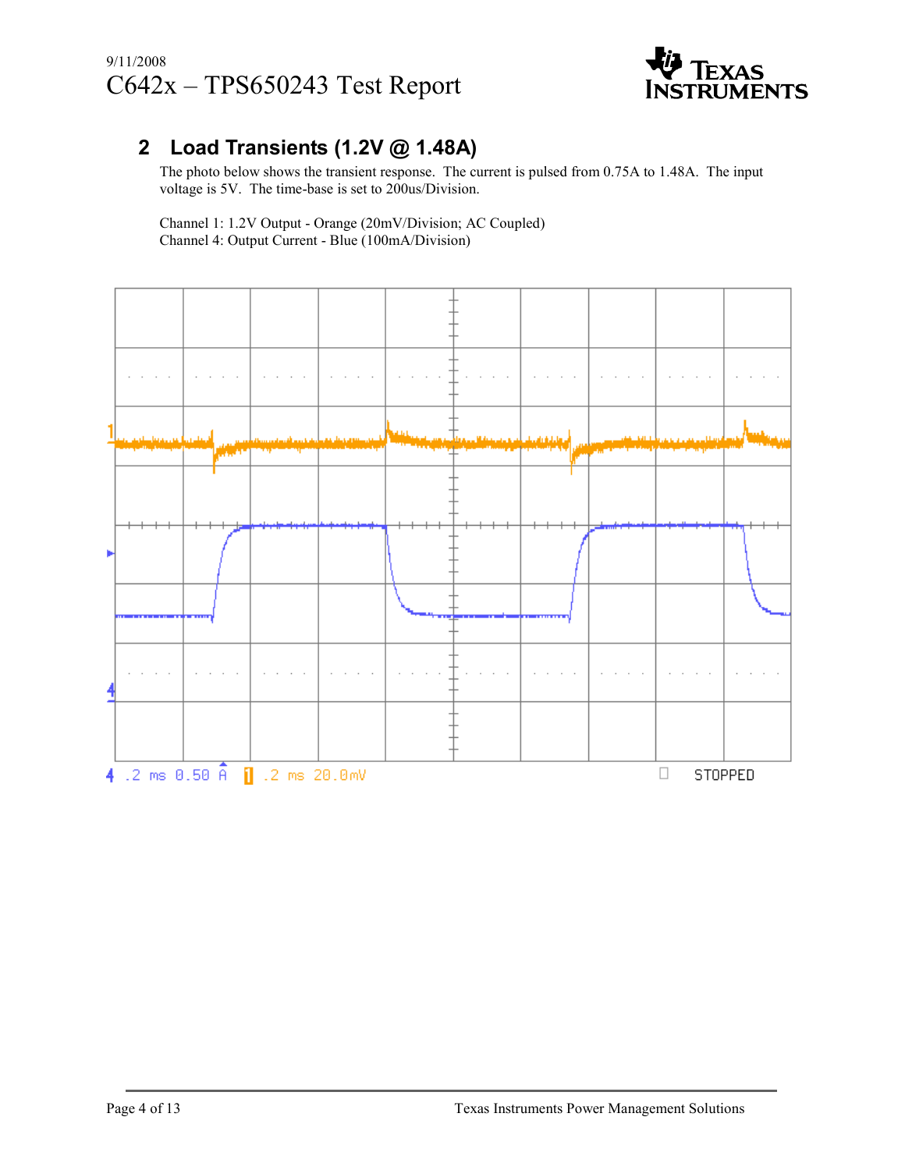

### 2 Load Transients (1.2V @ 1.48A)

The photo below shows the transient response. The current is pulsed from 0.75A to 1.48A. The input voltage is 5V. The time-base is set to 200us/Division.

 Channel 1: 1.2V Output - Orange (20mV/Division; AC Coupled) Channel 4: Output Current - Blue (100mA/Division)

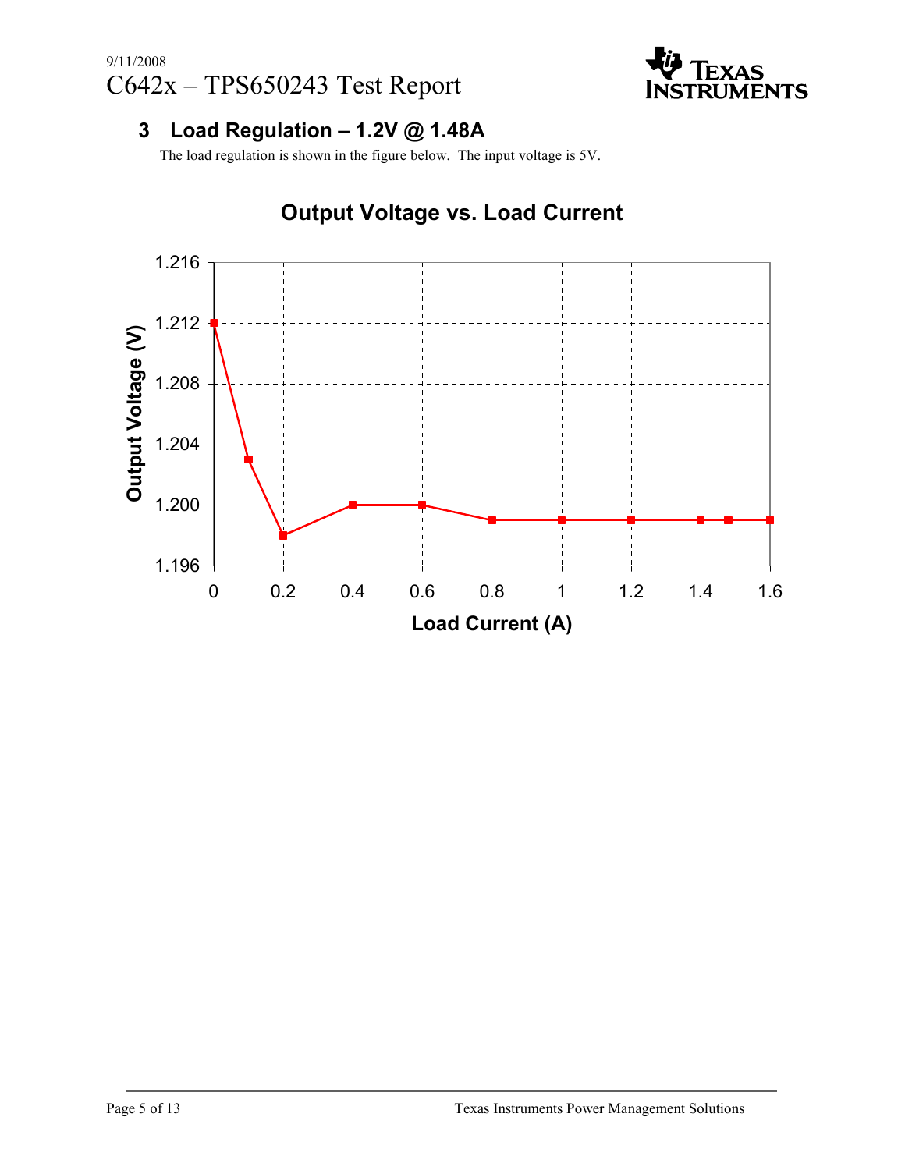

#### 3 Load Regulation  $-1.2V$  @ 1.48A

The load regulation is shown in the figure below. The input voltage is 5V.



## Output Voltage vs. Load Current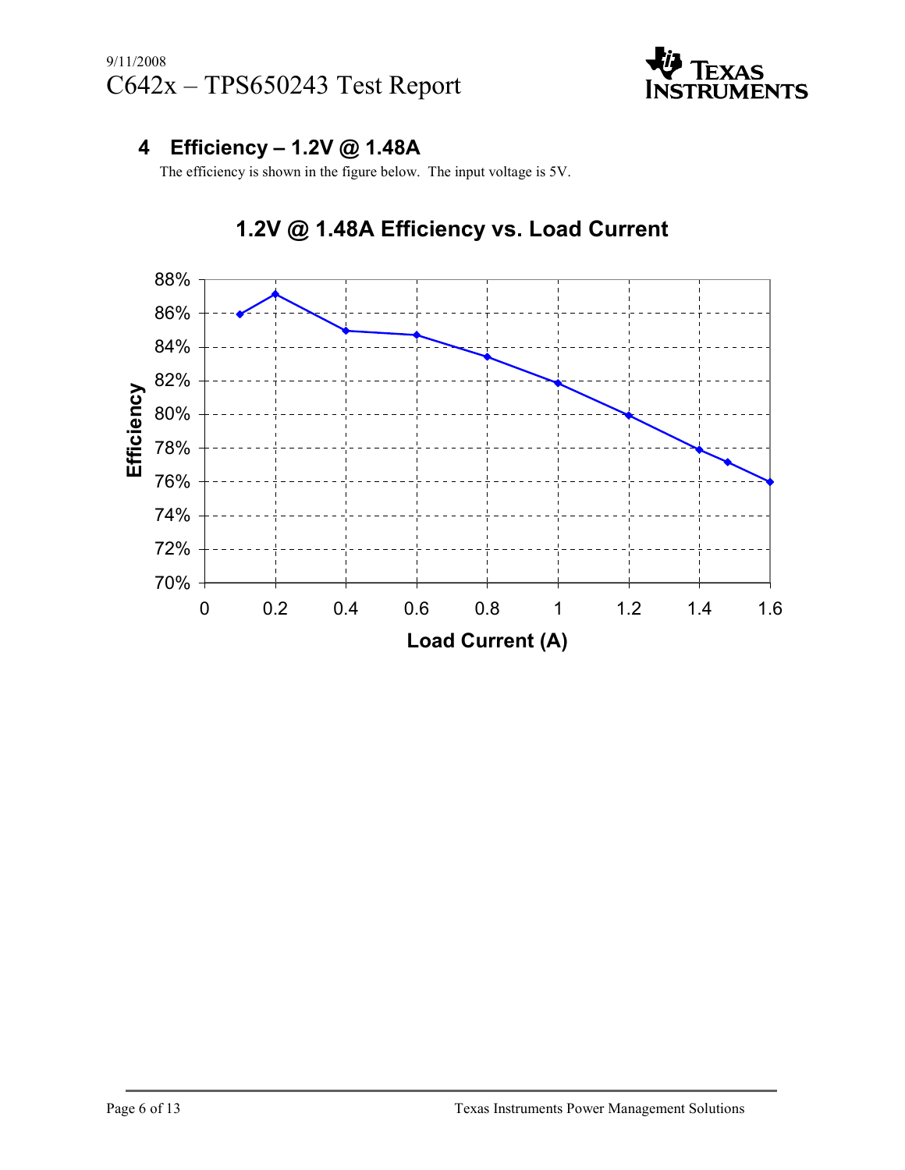

### 4 Efficiency – 1.2V @ 1.48A

The efficiency is shown in the figure below. The input voltage is 5V.



## 1.2V @ 1.48A Efficiency vs. Load Current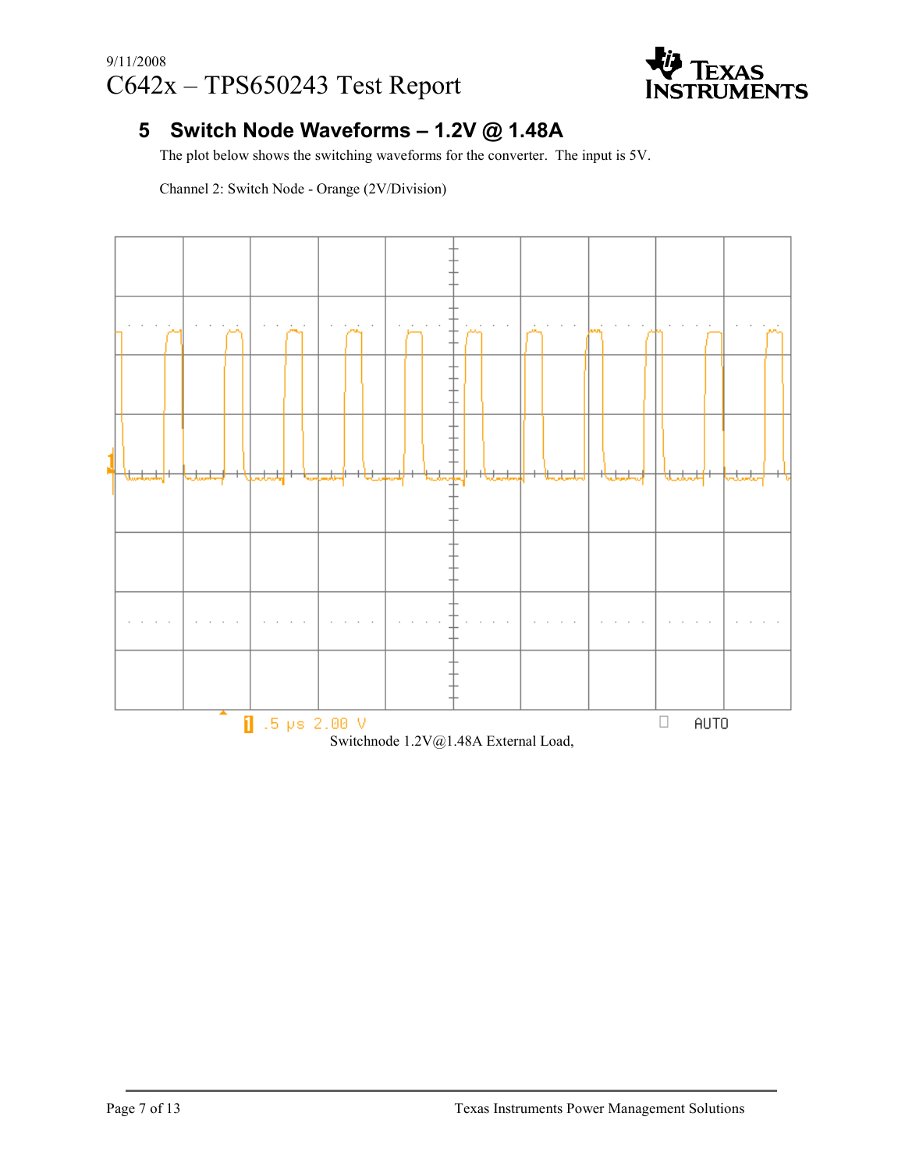

#### 5 Switch Node Waveforms – 1.2V @ 1.48A

The plot below shows the switching waveforms for the converter. The input is 5V.

Channel 2: Switch Node - Orange (2V/Division)



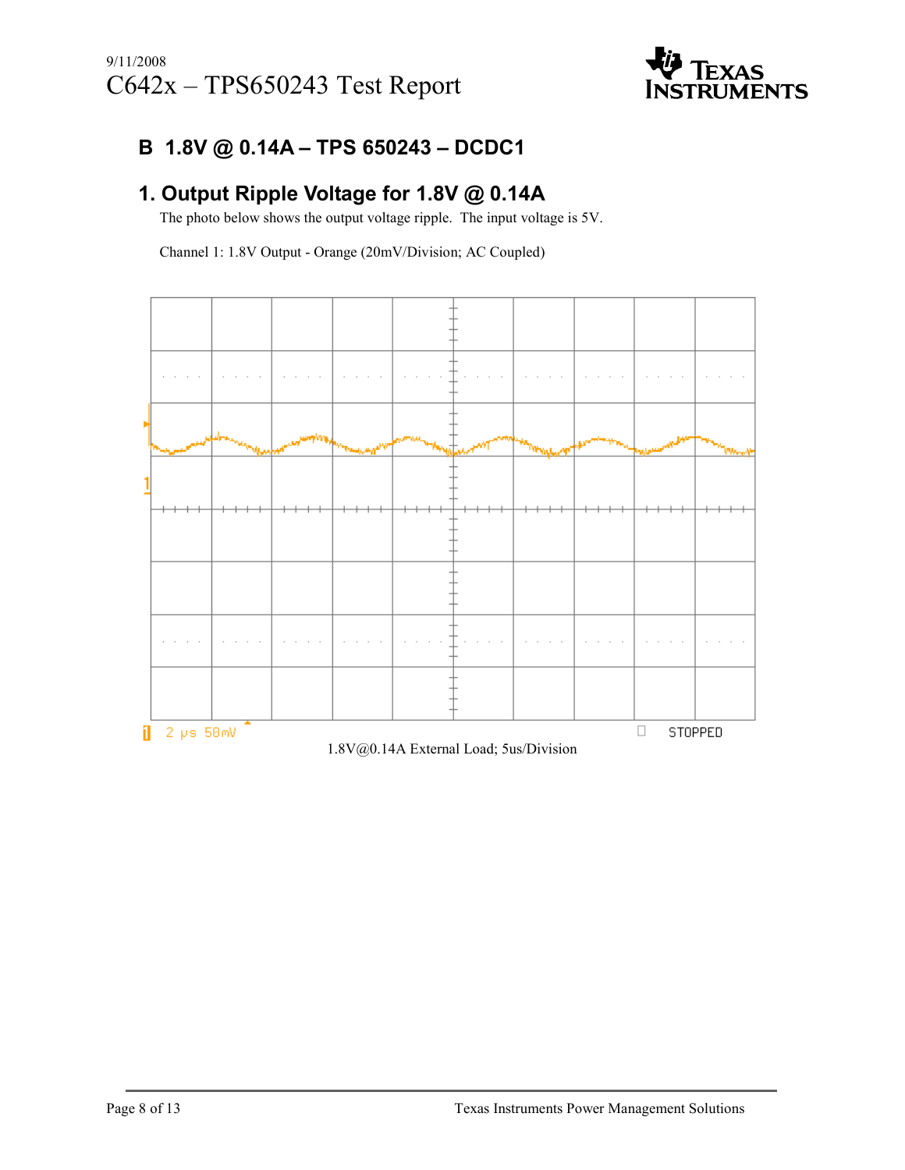

#### B 1.8V @ 0.14A – TPS 650243 – DCDC1

### 1. Output Ripple Voltage for 1.8V @ 0.14A

The photo below shows the output voltage ripple. The input voltage is 5V.

Channel 1: 1.8V Output - Orange (20mV/Division; AC Coupled)

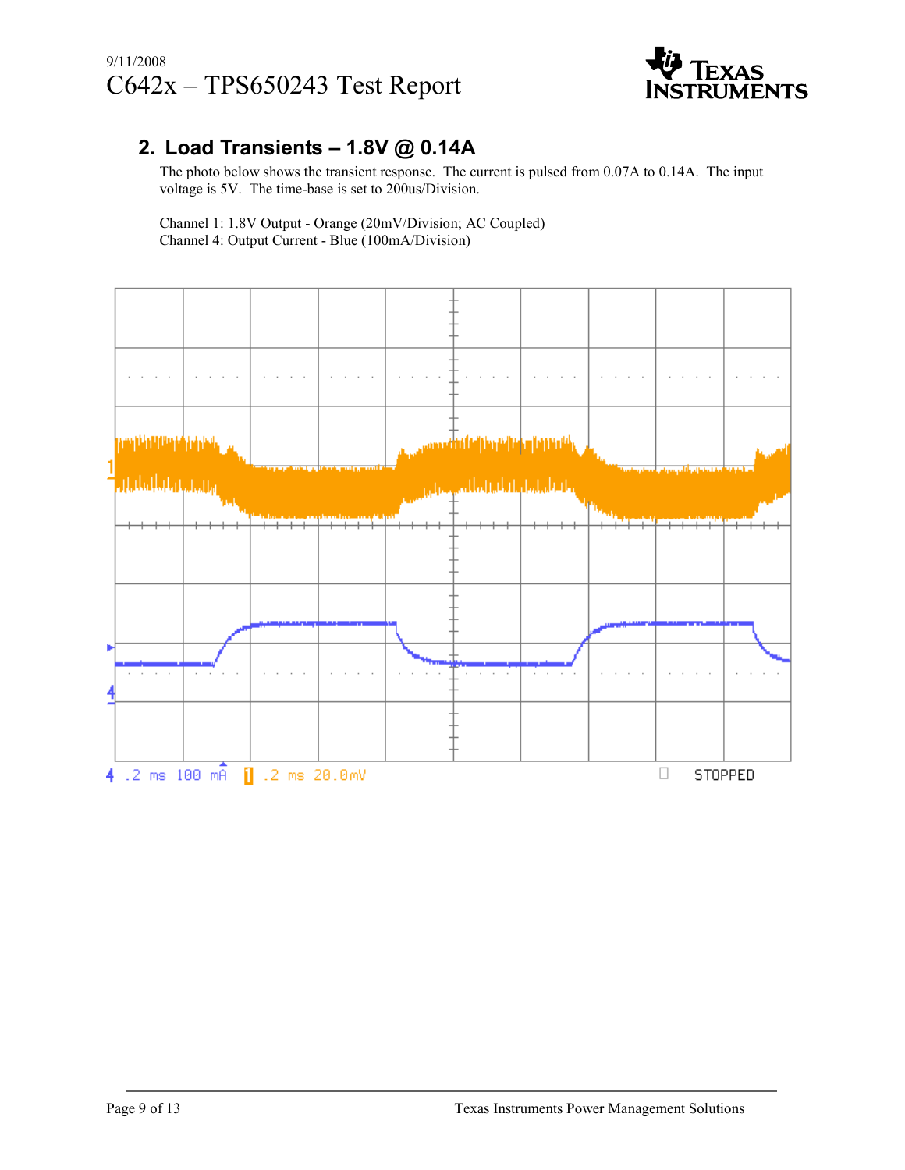#### 9/11/2008 C642x – TPS650243 Test Report



#### 2. Load Transients – 1.8V @ 0.14A

The photo below shows the transient response. The current is pulsed from 0.07A to 0.14A. The input voltage is 5V. The time-base is set to 200us/Division.

 Channel 1: 1.8V Output - Orange (20mV/Division; AC Coupled) Channel 4: Output Current - Blue (100mA/Division)

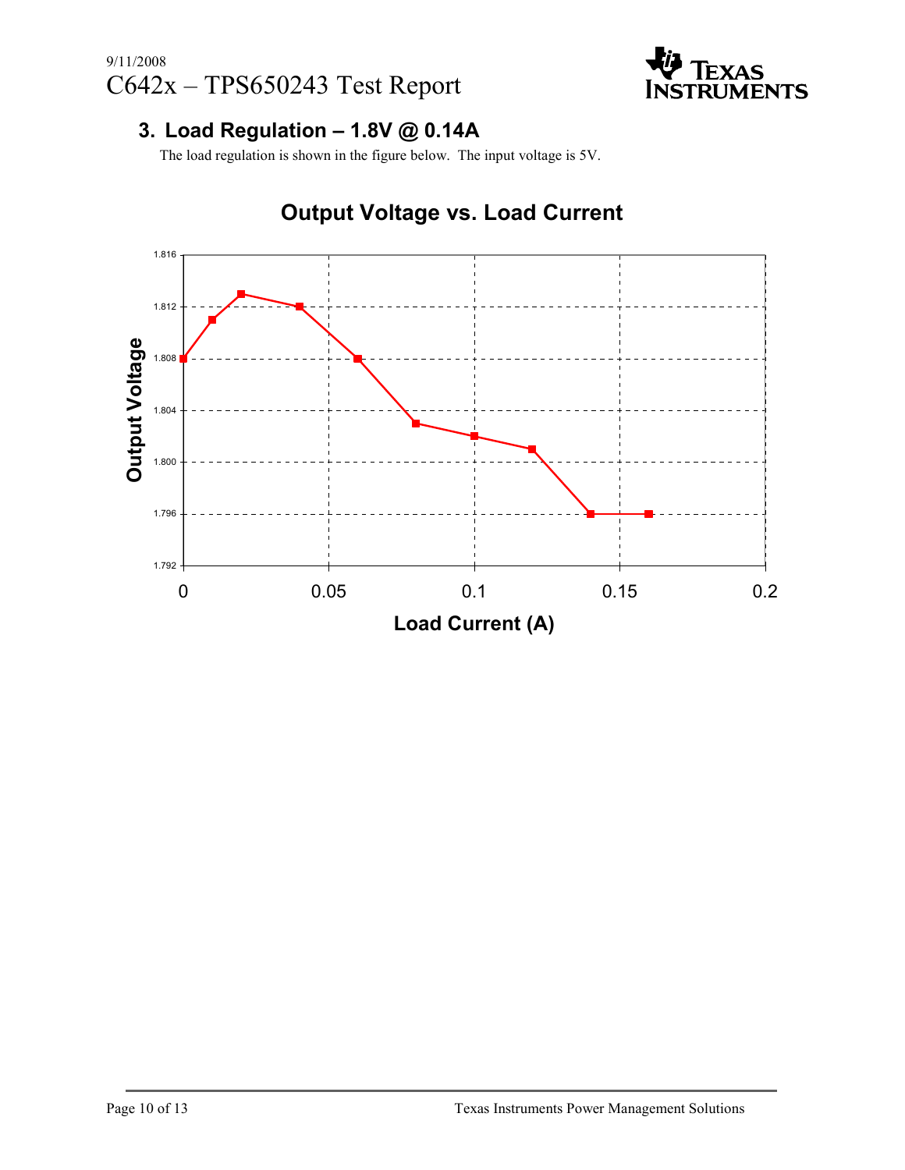

#### 3. Load Regulation – 1.8V @ 0.14A

The load regulation is shown in the figure below. The input voltage is 5V.



# Output Voltage vs. Load Current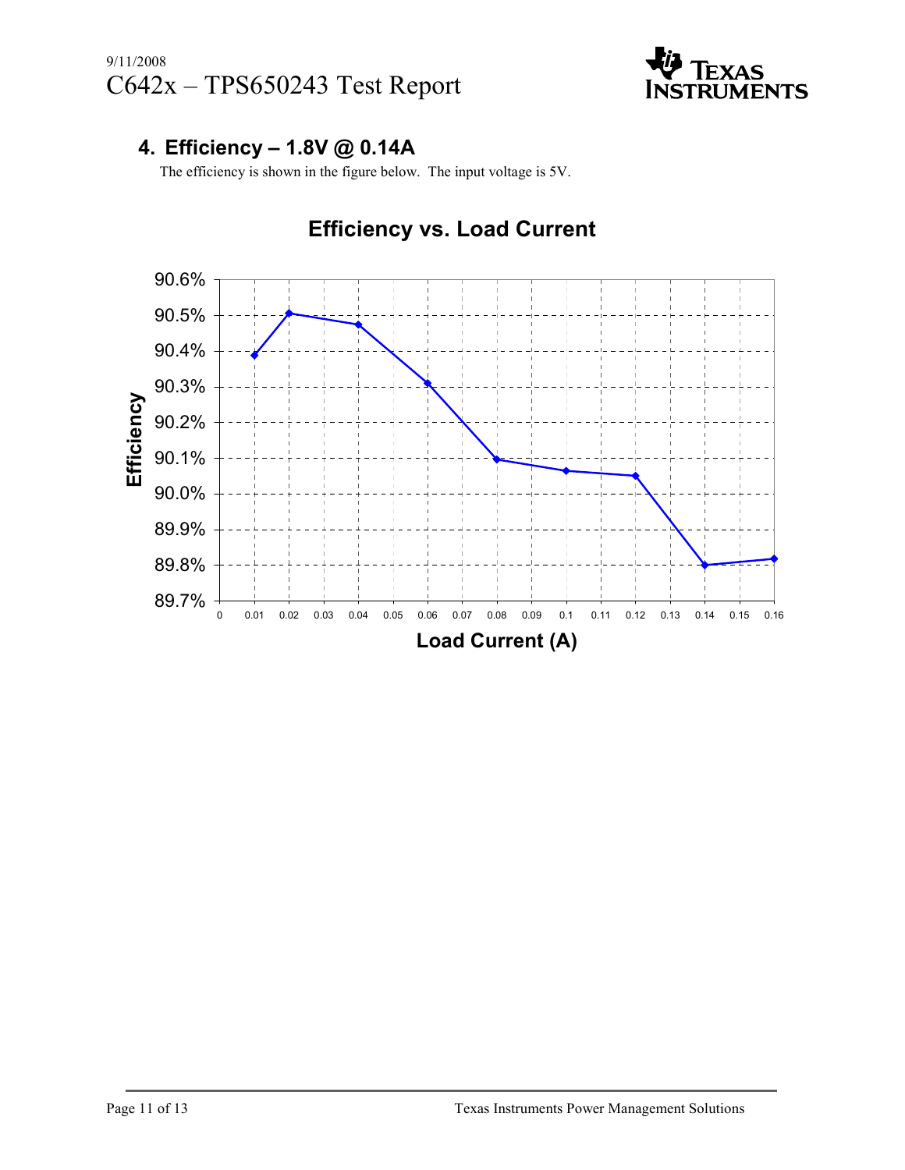

#### 4. Efficiency – 1.8V @ 0.14A

The efficiency is shown in the figure below. The input voltage is 5V.

## Efficiency vs. Load Current

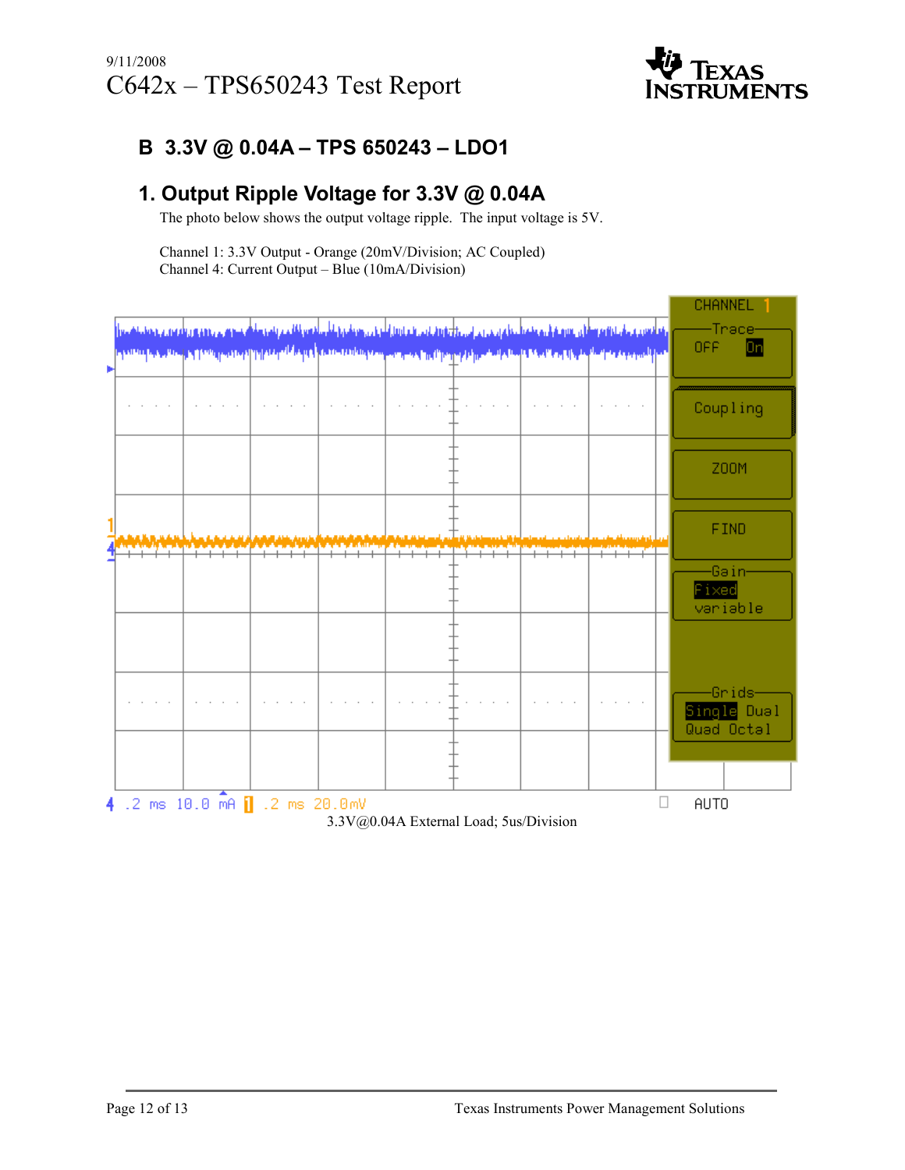

#### B 3.3V @ 0.04A – TPS 650243 – LDO1

#### 1. Output Ripple Voltage for 3.3V @ 0.04A

The photo below shows the output voltage ripple. The input voltage is 5V.

Channel 1: 3.3V Output - Orange (20mV/Division; AC Coupled) Channel 4: Current Output – Blue (10mA/Division)

|   |                                        |                                |  |  |  |  |  |                                                                                                                                        | CHANNEL     |  |  |
|---|----------------------------------------|--------------------------------|--|--|--|--|--|----------------------------------------------------------------------------------------------------------------------------------------|-------------|--|--|
|   |                                        |                                |  |  |  |  |  | ا استعمال می بود و به موقع استفاده به منظور می باشد و استفاده استفاده به این مواده به موقع استفاده و باشد و استفاده                    | -Trace-     |  |  |
|   |                                        |                                |  |  |  |  |  | in which is a strong of the protocol protocol discussion that the modern in the property of the discussion of the complete second part | Dn<br>OFF.  |  |  |
| Þ |                                        |                                |  |  |  |  |  |                                                                                                                                        |             |  |  |
|   |                                        |                                |  |  |  |  |  |                                                                                                                                        |             |  |  |
|   |                                        |                                |  |  |  |  |  |                                                                                                                                        | Coupling    |  |  |
|   |                                        |                                |  |  |  |  |  |                                                                                                                                        |             |  |  |
|   |                                        |                                |  |  |  |  |  |                                                                                                                                        |             |  |  |
|   |                                        |                                |  |  |  |  |  |                                                                                                                                        | <b>Z00M</b> |  |  |
|   |                                        |                                |  |  |  |  |  |                                                                                                                                        |             |  |  |
|   |                                        |                                |  |  |  |  |  |                                                                                                                                        | <b>FIND</b> |  |  |
|   |                                        |                                |  |  |  |  |  |                                                                                                                                        |             |  |  |
|   |                                        |                                |  |  |  |  |  |                                                                                                                                        | -Gəin-      |  |  |
|   |                                        |                                |  |  |  |  |  |                                                                                                                                        | Fixed       |  |  |
|   |                                        |                                |  |  |  |  |  |                                                                                                                                        | variable    |  |  |
|   |                                        |                                |  |  |  |  |  |                                                                                                                                        |             |  |  |
|   |                                        |                                |  |  |  |  |  |                                                                                                                                        |             |  |  |
|   |                                        |                                |  |  |  |  |  |                                                                                                                                        |             |  |  |
|   |                                        |                                |  |  |  |  |  |                                                                                                                                        | Grids-      |  |  |
|   |                                        |                                |  |  |  |  |  |                                                                                                                                        | Single Dual |  |  |
|   |                                        |                                |  |  |  |  |  |                                                                                                                                        | Quad Octal  |  |  |
|   |                                        |                                |  |  |  |  |  |                                                                                                                                        |             |  |  |
|   |                                        |                                |  |  |  |  |  |                                                                                                                                        |             |  |  |
|   |                                        | 4 .2 ms 10.0 mA 1 .2 ms 20.0mV |  |  |  |  |  |                                                                                                                                        | <b>AUTO</b> |  |  |
|   | 3.3V@0.04A External Load; 5us/Division |                                |  |  |  |  |  |                                                                                                                                        |             |  |  |